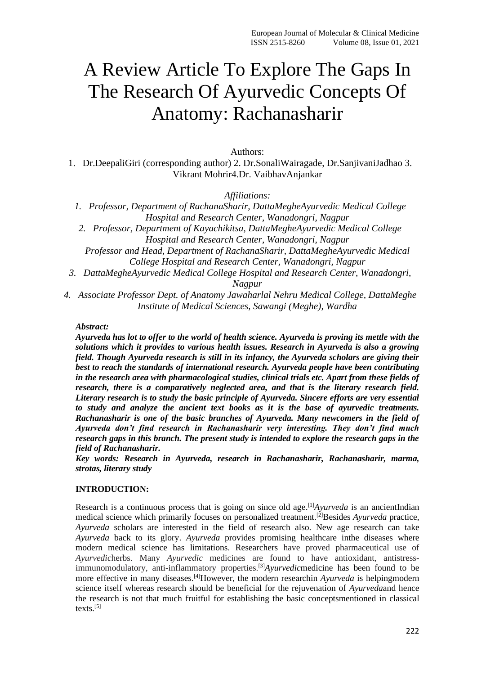# A Review Article To Explore The Gaps In The Research Of Ayurvedic Concepts Of Anatomy: Rachanasharir

Authors:

1. Dr.DeepaliGiri (corresponding author) 2. Dr.SonaliWairagade, Dr.SanjivaniJadhao 3. Vikrant Mohrir4.Dr. VaibhavAnjankar

*Affiliations:*

- *1. Professor, Department of RachanaSharir, DattaMegheAyurvedic Medical College Hospital and Research Center, Wanadongri, Nagpur*
- *2. Professor, Department of Kayachikitsa, DattaMegheAyurvedic Medical College Hospital and Research Center, Wanadongri, Nagpur*

*Professor and Head, Department of RachanaSharir, DattaMegheAyurvedic Medical College Hospital and Research Center, Wanadongri, Nagpur*

*3. DattaMegheAyurvedic Medical College Hospital and Research Center, Wanadongri,* 

## *Nagpur*

*4. Associate Professor Dept. of Anatomy Jawaharlal Nehru Medical College, DattaMeghe Institute of Medical Sciences, Sawangi (Meghe), Wardha*

### *Abstract:*

*Ayurveda has lot to offer to the world of health science. Ayurveda is proving its mettle with the solutions which it provides to various health issues. Research in Ayurveda is also a growing field. Though Ayurveda research is still in its infancy, the Ayurveda scholars are giving their best to reach the standards of international research. Ayurveda people have been contributing in the research area with pharmacological studies, clinical trials etc. Apart from these fields of research, there is a comparatively neglected area, and that is the literary research field. Literary research is to study the basic principle of Ayurveda. Sincere efforts are very essential to study and analyze the ancient text books as it is the base of ayurvedic treatments. Rachanasharir is one of the basic branches of Ayurveda. Many newcomers in the field of Ayurveda don't find research in Rachanasharir very interesting. They don't find much research gaps in this branch. The present study is intended to explore the research gaps in the field of Rachanasharir.*

*Key words: Research in Ayurveda, research in Rachanasharir, Rachanasharir, marma, strotas, literary study*

### **INTRODUCTION:**

Research is a continuous process that is going on since old age.<sup>[1]</sup>Ayurveda is an ancientIndian medical science which primarily focuses on personalized treatment.<sup>[2]</sup>Besides *Ayurveda* practice, *Ayurveda* scholars are interested in the field of research also. New age research can take *Ayurveda* back to its glory. *Ayurveda* provides promising healthcare inthe diseases where modern medical science has limitations. Researchers have proved pharmaceutical use of *Ayurvedic*herbs. Many *Ayurvedic* medicines are found to have antioxidant, antistressimmunomodulatory, anti-inflammatory properties. [3]*Ayurvedic*medicine has been found to be more effective in many diseases.<sup>[4]</sup>However, the modern researchin *Ayurveda* is helpingmodern science itself whereas research should be beneficial for the rejuvenation of *Ayurveda*and hence the research is not that much fruitful for establishing the basic conceptsmentioned in classical texts.[5]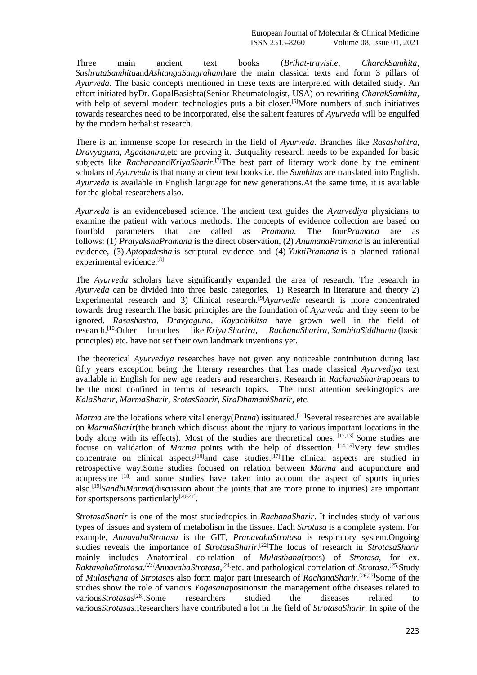Three main ancient text books (*Brihat-trayisi.e*, *CharakSamhita*, *SushrutaSamhita*and*AshtangaSangraham)*are the main classical texts and form 3 pillars of *Ayurveda*. The basic concepts mentioned in these texts are interpreted with detailed study. An effort initiated byDr. GopalBasishta(Senior Rheumatologist, USA) on rewriting *CharakSamhita*, with help of several modern technologies puts a bit closer.<sup>[6]</sup>More numbers of such initiatives towards researches need to be incorporated, else the salient features of *Ayurveda* will be engulfed by the modern herbalist research.

There is an immense scope for research in the field of *Ayurveda*. Branches like *Rasashahtra, Dravyaguna, Agadtantra,*etc are proving it. Butquality research needs to be expanded for basic subjects like *Rachana*and*KriyaSharir*. [7]The best part of literary work done by the eminent scholars of *Ayurveda* is that many ancient text books i.e. the *Samhitas* are translated into English. *Ayurveda* is available in English language for new generations.At the same time, it is available for the global researchers also.

*Ayurveda* is an evidencebased science. The ancient text guides the *Ayurvediya* physicians to examine the patient with various methods. The concepts of evidence collection are based on fourfold parameters that are called as *Pramana.* The four*Pramana* are as follows: (1) *PratyakshaPramana* is the direct observation, (2) *AnumanaPramana* is an inferential evidence, (3) *Aptopadesha* is scriptural evidence and (4) *YuktiPramana* is a planned rational experimental evidence.[8]

The *Ayurveda* scholars have significantly expanded the area of research. The research in *Ayurveda* can be divided into three basic categories. 1) Research in literature and theory 2) Experimental research and 3) Clinical research.<sup>[9]</sup>*Ayurvedic* research is more concentrated towards drug research.The basic principles are the foundation of *Ayurveda* and they seem to be ignored. *Rasashastra, Dravyaguna, Kayachikitsa* have grown well in the field of research.[10]Other branches like *Kriya Sharira*, *RachanaSharira*, *SamhitaSiddhanta* (basic principles) etc. have not set their own landmark inventions yet.

The theoretical *Ayurvediya* researches have not given any noticeable contribution during last fifty years exception being the literary researches that has made classical *Ayurvediya* text available in English for new age readers and researchers. Research in *RachanaSharir*appears to be the most confined in terms of research topics. The most attention seekingtopics are *KalaSharir, MarmaSharir, SrotasSharir, SiraDhamaniSharir,* etc*.*

*Marma* are the locations where vital energy(*Prana*) issituated.<sup>[11]</sup>Several researches are available on *MarmaSharir*(the branch which discuss about the injury to various important locations in the body along with its effects). Most of the studies are theoretical ones. [12,13] Some studies are focuse on validation of *Marma* points with the help of dissection. <sup>[14,15]</sup>Very few studies concentrate on clinical aspects<sup>[16]</sup>and case studies.<sup>[17]</sup>The clinical aspects are studied in retrospective way.Some studies focused on relation between *Marma* and acupuncture and acupressure [18] and some studies have taken into account the aspect of sports injuries also.[19]*SandhiMarma*(discussion about the joints that are more prone to injuries) are important for sportspersons particularly<sup>[20-21]</sup>.

*StrotasaSharir* is one of the most studiedtopics in *RachanaSharir*. It includes study of various types of tissues and system of metabolism in the tissues. Each *Strotasa* is a complete system. For example, *AnnavahaStrotasa* is the GIT, *PranavahaStrotasa* is respiratory system.Ongoing studies reveals the importance of *StrotasaSharir*. [22]The focus of research in *StrotasaSharir* mainly includes Anatomical co-relation of *Mulasthana*(roots) of *Strotasa,* for ex. RaktavahaStrotasa.<sup>[23]</sup>AnnavahaStrotasa,<sup>[24]</sup>etc. and pathological correlation of *Strotasa*.<sup>[25]</sup>Study of *Mulasthana* of *Strotasa*s also form major part inresearch of *RachanaSharir*. [26,27]Some of the studies show the role of various *Yogasana*positionsin the management ofthe diseases related to various*Strotasas*<sup>[28]</sup>.Some researchers studied the diseases related to various*Strotasas.*Researchers have contributed a lot in the field of *StrotasaSharir*. In spite of the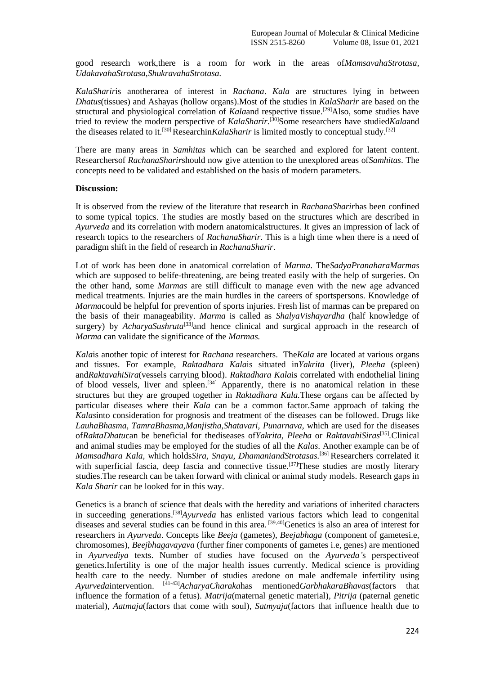good research work,there is a room for work in the areas of*MamsavahaStrotasa, UdakavahaStrotasa,ShukravahaStrotasa.*

*KalaSharir*is anotherarea of interest in *Rachana*. *Kala* are structures lying in between *Dhatus*(tissues) and Ashayas (hollow organs).Most of the studies in *KalaSharir* are based on the structural and physiological correlation of *Kala*and respective tissue.<sup>[29]</sup>Also, some studies have tried to review the modern perspective of *KalaSharir.* [30]Some researchers have studied*Kala*and the diseases related to it.<sup>[30]</sup> Researchin*KalaSharir* is limited mostly to conceptual study.<sup>[32]</sup>

There are many areas in *Samhitas* which can be searched and explored for latent content. Researchersof *RachanaSharir*should now give attention to the unexplored areas of*Samhitas*. The concepts need to be validated and established on the basis of modern parameters.

#### **Discussion:**

It is observed from the review of the literature that research in *RachanaSharir*has been confined to some typical topics. The studies are mostly based on the structures which are described in *Ayurveda* and its correlation with modern anatomicalstructures. It gives an impression of lack of research topics to the researchers of *RachanaSharir*. This is a high time when there is a need of paradigm shift in the field of research in *RachanaSharir*.

Lot of work has been done in anatomical correlation of *Marma*. The*SadyaPranaharaMarmas* which are supposed to belife-threatening, are being treated easily with the help of surgeries. On the other hand, some *Marmas* are still difficult to manage even with the new age advanced medical treatments. Injuries are the main hurdles in the careers of sportspersons. Knowledge of *Marma*could be helpful for prevention of sports injuries. Fresh list of marmas can be prepared on the basis of their manageability. *Marma* is called as *ShalyaVishayardha* (half knowledge of surgery) by *AcharyaSushruta*<sup>[33]</sup>and hence clinical and surgical approach in the research of *Marma* can validate the significance of the *Marmas.* 

*Kala*is another topic of interest for *Rachana* researchers. The*Kala* are located at various organs and tissues. For example, *Raktadhara Kala*is situated in*Yakrita* (liver), *Pleeha* (spleen) and*RaktavahiSira*(vessels carrying blood). *Raktadhara Kala*is correlated with endothelial lining of blood vessels, liver and spleen.<sup>[34]</sup> Apparently, there is no anatomical relation in these structures but they are grouped together in *Raktadhara Kala.*These organs can be affected by particular diseases where their *Kala* can be a common factor.Same approach of taking the *Kalas*into consideration for prognosis and treatment of the diseases can be followed. Drugs like *LauhaBhasma*, *TamraBhasma,Manjistha,Shatavari, Punarnava*, which are used for the diseases of*RaktaDhatu*can be beneficial for thediseases of*Yakrita, Pleeha* or *RaktavahiSiras*[35] *.*Clinical and animal studies may be employed for the studies of all the *Kalas*. Another example can be of *Mamsadhara Kala,* which holds*Sira, Snayu, DhamaniandStrotasas.* [36] Researchers correlated it with superficial fascia, deep fascia and connective tissue.<sup>[37]</sup>These studies are mostly literary studies.The research can be taken forward with clinical or animal study models. Research gaps in *Kala Sharir* can be looked for in this way.

Genetics is a branch of science that deals with the heredity and variations of inherited characters in succeeding generations. [38]*Ayurveda* has enlisted various factors which lead to congenital diseases and several studies can be found in this area.<sup>[39,40]</sup>Genetics is also an area of interest for researchers in *Ayurveda*. Concepts like *Beeja* (gametes), *Beejabhaga* (component of gametesi.e, chromosomes), *Beejbhagavayava* (further finer components of gametes i.e, genes) are mentioned in *Ayurvediya* texts. Number of studies have focused on the *Ayurveda'*s perspectiveof genetics.Infertility is one of the major health issues currently. Medical science is providing health care to the needy. Number of studies aredone on male andfemale infertility using *Ayurveda*intervention. [41-43]*AcharyaCharaka*has mentioned*GarbhakaraBhavas*(factors that influence the formation of a fetus)*. Matrija*(maternal genetic material)*, Pitrija* (paternal genetic material)*, Aatmaja*(factors that come with soul)*, Satmyaja*(factors that influence health due to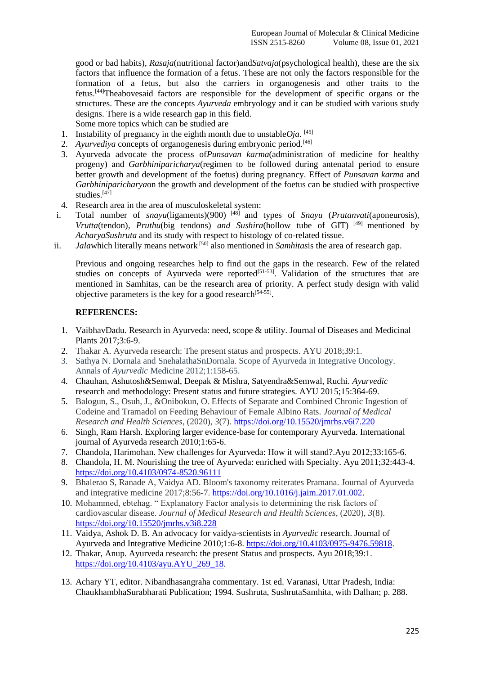good or bad habits)*, Rasaja*(nutritional factor)and*Satvaja*(psychological health), these are the six factors that influence the formation of a fetus. These are not only the factors responsible for the formation of a fetus, but also the carriers in organogenesis and other traits to the fetus. [44]Theabovesaid factors are responsible for the development of specific organs or the structures. These are the concepts *Ayurveda* embryology and it can be studied with various study designs. There is a wide research gap in this field.

Some more topics which can be studied are

- 1. Instability of pregnancy in the eighth month due to unstable  $Oja$ . <sup>[45]</sup>
- 2. *Ayurvediya* concepts of organogenesis during embryonic period.<sup>[46]</sup>
- 3. Ayurveda advocate the process of*Punsavan karma*(administration of medicine for healthy progeny) and *Garbhiniparicharya*(regimen to be followed during antenatal period to ensure better growth and development of the foetus) during pregnancy. Effect of *Punsavan karma* and *Garbhiniparicharya*on the growth and development of the foetus can be studied with prospective studies. [47]
- 4. Research area in the area of musculoskeletal system:
- i. Total number of *snayu*(ligaments)(900)<sup>[48]</sup> and types of *Snayu* (*Pratanvati*(aponeurosis), *Vrutta*(tendon)*, Pruthu*(big tendons) *and Sushira*(hollow tube of GIT) [49] mentioned by *AcharyaSushruta* and its study with respect to histology of co-related tissue.
- ii. *Jala*which literally means network <sup>[50]</sup> also mentioned in *Samhitas*is the area of research gap.

Previous and ongoing researches help to find out the gaps in the research. Few of the related studies on concepts of Ayurveda were reported<sup>[51-53]</sup>. Validation of the structures that are mentioned in Samhitas, can be the research area of priority. A perfect study design with valid objective parameters is the key for a good research<sup>[54-55]</sup>.

### **REFERENCES:**

- 1. VaibhavDadu. Research in Ayurveda: need, scope & utility. Journal of Diseases and Medicinal Plants 2017;3:6-9.
- 2. Thakar A. Ayurveda research: The present status and prospects. AYU 2018;39:1.
- 3. Sathya N. Dornala and SnehalathaSnDornala. Scope of Ayurveda in Integrative Oncology. Annals of *Ayurvedic* Medicine 2012;1:158-65.
- 4. Chauhan, Ashutosh&Semwal, Deepak & Mishra, Satyendra&Semwal, Ruchi. *Ayurvedic* research and methodology: Present status and future strategies. AYU 2015;15:364-69.
- 5. Balogun, S., Osuh, J., &Onibokun, O. Effects of Separate and Combined Chronic Ingestion of Codeine and Tramadol on Feeding Behaviour of Female Albino Rats. *Journal of Medical Research and Health Sciences*, (2020), *3*(7).<https://doi.org/10.15520/jmrhs.v6i7.220>
- 6. Singh, Ram Harsh. Exploring larger evidence-base for contemporary Ayurveda. International journal of Ayurveda research 2010;1:65-6.
- 7. Chandola, Harimohan. New challenges for Ayurveda: How it will stand?.Ayu 2012;33:165-6.
- 8. Chandola, H. M. Nourishing the tree of Ayurveda: enriched with Specialty. Ayu 2011;32:443-4. <https://doi.org/10.4103/0974-8520.96111>
- 9. Bhalerao S, Ranade A, Vaidya AD. Bloom's taxonomy reiterates Pramana. Journal of Ayurveda and integrative medicine 2017;8:56-7. [https://doi.org/10.1016/j.jaim.2017.01.002.](https://doi.org/10.1016/j.jaim.2017.01.002)
- 10. Mohammed, ebtehag. " Explanatory Factor analysis to determining the risk factors of cardiovascular disease. *Journal of Medical Research and Health Sciences*, (2020), *3*(8). <https://doi.org/10.15520/jmrhs.v3i8.228>
- 11. Vaidya, Ashok D. B. An advocacy for vaidya-scientists in *Ayurvedic* research. Journal of Ayurveda and Integrative Medicine 2010;1:6-8. [https://doi.org/10.4103/0975-9476.59818.](https://doi.org/10.4103/0975-9476.59818)
- 12. Thakar, Anup. Ayurveda research: the present Status and prospects. Ayu 2018;39:1. [https://doi.org/10.4103/ayu.AYU\\_269\\_18.](https://doi.org/10.4103/ayu.AYU_269_18)
- 13. Achary YT, editor. Nibandhasangraha commentary. 1st ed. Varanasi, Uttar Pradesh, India: ChaukhambhaSurabharati Publication; 1994. Sushruta, SushrutaSamhita, with Dalhan; p. 288.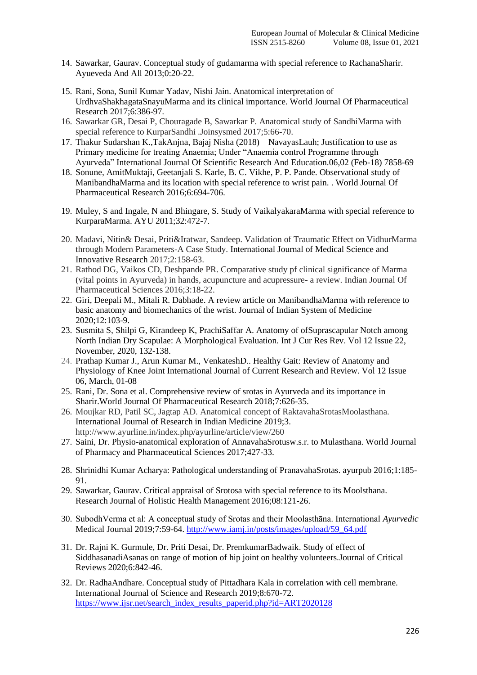- 14. Sawarkar, Gaurav. Conceptual study of gudamarma with special reference to RachanaSharir. Ayueveda And All 2013;0:20-22.
- 15. Rani, Sona, Sunil Kumar Yadav, Nishi Jain. Anatomical interpretation of UrdhvaShakhagataSnayuMarma and its clinical importance. World Journal Of Pharmaceutical Research 2017;6:386-97.
- 16. Sawarkar GR, Desai P, Chouragade B, Sawarkar P. Anatomical study of SandhiMarma with special reference to KurparSandhi .Joinsysmed 2017;5:66-70.
- 17. Thakur Sudarshan K.,TakAnjna, Bajaj Nisha (2018) NavayasLauh; Justification to use as Primary medicine for treating Anaemia; Under "Anaemia control Programme through Ayurveda" International Journal Of Scientific Research And Education.06,02 (Feb-18) 7858-69
- 18. Sonune, AmitMuktaji, Geetanjali S. Karle, B. C. Vikhe, P. P. Pande. Observational study of ManibandhaMarma and its location with special reference to wrist pain. . World Journal Of Pharmaceutical Research 2016;6:694-706.
- 19. Muley, S and Ingale, N and Bhingare, S. Study of VaikalyakaraMarma with special reference to KurparaMarma. AYU 2011;32:472-7.
- 20. Madavi, Nitin& Desai, Priti&Iratwar, Sandeep. Validation of Traumatic Effect on VidhurMarma through Modern Parameters-A Case Study. International Journal of Medical Science and Innovative Research 2017;2:158-63.
- 21. Rathod DG, Vaikos CD, Deshpande PR. Comparative study pf clinical significance of Marma (vital points in Ayurveda) in hands, acupuncture and acupressure- a review. Indian Journal Of Pharmaceutical Sciences 2016;3:18-22.
- 22. Giri, Deepali M., Mitali R. Dabhade. A review article on ManibandhaMarma with reference to basic anatomy and biomechanics of the wrist. Journal of Indian System of Medicine 2020;12:103-9.
- 23. Susmita S, Shilpi G, Kirandeep K, PrachiSaffar A. Anatomy of ofSuprascapular Notch among North Indian Dry Scapulae: A Morphological Evaluation. Int J Cur Res Rev. Vol 12 Issue 22, November, 2020, 132-138.
- 24. Prathap Kumar J., Arun Kumar M., VenkateshD.. Healthy Gait: Review of Anatomy and Physiology of Knee Joint International Journal of Current Research and Review. Vol 12 Issue 06, March, 01-08
- 25. Rani, Dr. Sona et al. Comprehensive review of srotas in Ayurveda and its importance in Sharir.World Journal Of Pharmaceutical Research 2018;7:626-35.
- 26. Moujkar RD, Patil SC, Jagtap AD. Anatomical concept of RaktavahaSrotasMoolasthana. International Journal of Research in Indian Medicine 2019;3. http://www.ayurline.in/index.php/ayurline/article/view/260
- 27. Saini, Dr. Physio-anatomical exploration of AnnavahaSrotusw.s.r. to Mulasthana. World Journal of Pharmacy and Pharmaceutical Sciences 2017;427-33.
- 28. Shrinidhi Kumar Acharya: Pathological understanding of PranavahaSrotas. ayurpub 2016;1:185- 91.
- 29. Sawarkar, Gaurav. Critical appraisal of Srotosa with special reference to its Moolsthana. Research Journal of Holistic Health Management 2016;08:121-26.
- 30. SubodhVerma et al: A conceptual study of Srotas and their Moolasthāna. International *Ayurvedic* Medical Journal 2019;7:59-64. [http://www.iamj.in/posts/images/upload/59\\_64.pdf](http://www.iamj.in/posts/images/upload/59_64.pdf)
- 31. Dr. Rajni K. Gurmule, Dr. Priti Desai, Dr. PremkumarBadwaik. Study of effect of SiddhasanadiAsanas on range of motion of hip joint on healthy volunteers.Journal of Critical Reviews 2020;6:842-46.
- 32. Dr. RadhaAndhare. Conceptual study of Pittadhara Kala in correlation with cell membrane. International Journal of Science and Research 2019;8:670-72. [https://www.ijsr.net/search\\_index\\_results\\_paperid.php?id=ART2020128](https://www.ijsr.net/search_index_results_paperid.php?id=ART2020128)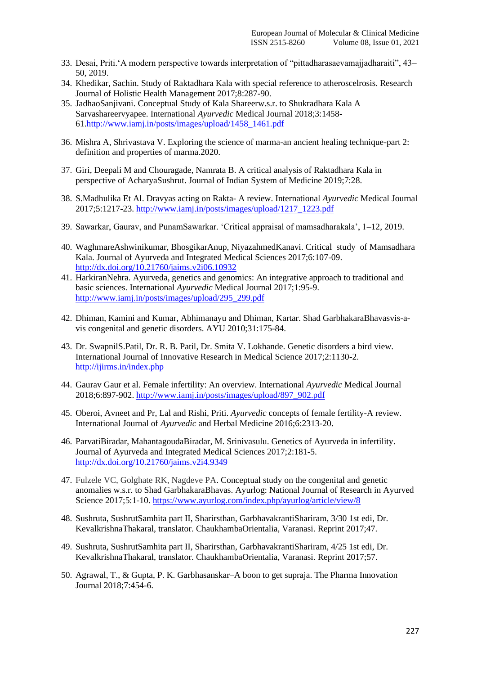- 33. Desai, Priti.'A modern perspective towards interpretation of "pittadharasaevamajjadharaiti", 43– 50, 2019.
- 34. Khedikar, Sachin. Study of Raktadhara Kala with special reference to atheroscelrosis. Research Journal of Holistic Health Management 2017;8:287-90.
- 35. JadhaoSanjivani. Conceptual Study of Kala Shareerw.s.r. to Shukradhara Kala A Sarvashareervyapee. International *Ayurvedic* Medical Journal 2018;3:1458- 61[.http://www.iamj.in/posts/images/upload/1458\\_1461.pdf](http://www.iamj.in/posts/images/upload/1458_1461.pdf)
- 36. Mishra A, Shrivastava V. Exploring the science of marma-an ancient healing technique-part 2: definition and properties of marma.2020.
- 37. Giri, Deepali M and Chouragade, Namrata B. A critical analysis of Raktadhara Kala in perspective of AcharyaSushrut. Journal of Indian System of Medicine 2019;7:28.
- 38. S.Madhulika Et Al. Dravyas acting on Rakta- A review. International *Ayurvedic* Medical Journal 2017;5:1217-23. [http://www.iamj.in/posts/images/upload/1217\\_1223.pdf](http://www.iamj.in/posts/images/upload/1217_1223.pdf)
- 39. Sawarkar, Gaurav, and PunamSawarkar. 'Critical appraisal of mamsadharakala', 1–12, 2019.
- 40. WaghmareAshwinikumar, BhosgikarAnup, NiyazahmedKanavi. Critical study of Mamsadhara Kala. Journal of Ayurveda and Integrated Medical Sciences 2017;6:107-09. <http://dx.doi.org/10.21760/jaims.v2i06.10932>
- 41. HarkiranNehra. Ayurveda, genetics and genomics: An integrative approach to traditional and basic sciences. International *Ayurvedic* Medical Journal 2017;1:95-9. [http://www.iamj.in/posts/images/upload/295\\_299.pdf](http://www.iamj.in/posts/images/upload/295_299.pdf)
- 42. Dhiman, Kamini and Kumar, Abhimanayu and Dhiman, Kartar. Shad GarbhakaraBhavasvis-avis congenital and genetic disorders. AYU 2010;31:175-84.
- 43. Dr. SwapnilS.Patil, Dr. R. B. Patil, Dr. Smita V. Lokhande. Genetic disorders a bird view. International Journal of Innovative Research in Medical Science 2017;2:1130-2. <http://ijirms.in/index.php>
- 44. Gaurav Gaur et al. Female infertility: An overview. International *Ayurvedic* Medical Journal 2018;6:897-902. [http://www.iamj.in/posts/images/upload/897\\_902.pdf](http://www.iamj.in/posts/images/upload/897_902.pdf)
- 45. Oberoi, Avneet and Pr, Lal and Rishi, Priti. *Ayurvedic* concepts of female fertility-A review. International Journal of *Ayurvedic* and Herbal Medicine 2016;6:2313-20.
- 46. ParvatiBiradar, MahantagoudaBiradar, M. Srinivasulu. Genetics of Ayurveda in infertility. Journal of Ayurveda and Integrated Medical Sciences 2017;2:181-5. <http://dx.doi.org/10.21760/jaims.v2i4.9349>
- 47. Fulzele VC, Golghate RK, Nagdeve PA. Conceptual study on the congenital and genetic anomalies w.s.r. to Shad GarbhakaraBhavas. Ayurlog: National Journal of Research in Ayurved Science 2017;5:1-10.<https://www.ayurlog.com/index.php/ayurlog/article/view/8>
- 48. Sushruta, SushrutSamhita part II, Sharirsthan, GarbhavakrantiShariram, 3/30 1st edi, Dr. KevalkrishnaThakaral, translator. ChaukhambaOrientalia, Varanasi. Reprint 2017;47.
- 49. Sushruta, SushrutSamhita part II, Sharirsthan, GarbhavakrantiShariram, 4/25 1st edi, Dr. KevalkrishnaThakaral, translator. ChaukhambaOrientalia, Varanasi. Reprint 2017;57.
- 50. Agrawal, T., & Gupta, P. K. Garbhasanskar–A boon to get supraja. The Pharma Innovation Journal 2018;7:454-6.